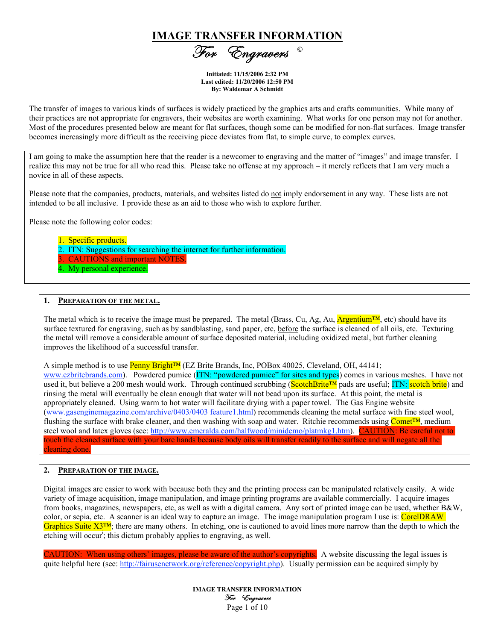# IMAGE TRANSFER INFORMATION

'Engrav<u>ers</u>

Initiated: 11/15/2006 2:32 PM Last edited: 11/20/2006 12:50 PM By: Waldemar A Schmidt

The transfer of images to various kinds of surfaces is widely practiced by the graphics arts and crafts communities. While many of their practices are not appropriate for engravers, their websites are worth examining. What works for one person may not for another. Most of the procedures presented below are meant for flat surfaces, though some can be modified for non-flat surfaces. Image transfer becomes increasingly more difficult as the receiving piece deviates from flat, to simple curve, to complex curves.

I am going to make the assumption here that the reader is a newcomer to engraving and the matter of "images" and image transfer. I realize this may not be true for all who read this. Please take no offense at my approach – it merely reflects that I am very much a novice in all of these aspects.

Please note that the companies, products, materials, and websites listed do not imply endorsement in any way. These lists are not intended to be all inclusive. I provide these as an aid to those who wish to explore further.

Please note the following color codes:

- 1. Specific products.
- ITN: Suggestions for searching the internet for further information.
- 3. CAUTIONS and important NOTES.
- My personal experience.

#### 1. PREPARATION OF THE METAL.

The metal which is to receive the image must be prepared. The metal (Brass, Cu, Ag, Au,  $\text{Argentium™}$ , etc) should have its surface textured for engraving, such as by sandblasting, sand paper, etc, before the surface is cleaned of all oils, etc. Texturing the metal will remove a considerable amount of surface deposited material, including oxidized metal, but further cleaning improves the likelihood of a successful transfer.

A simple method is to use Penny Bright™ (EZ Brite Brands, Inc, POBox 40025, Cleveland, OH, 44141; www.ezbritebrands.com). Powdered pumice (ITN: "powdered pumice" for sites and types) comes in various meshes. I have not used it, but believe a 200 mesh would work. Through continued scrubbing (ScotchBrite™ pads are useful; ITN: scotch brite) and rinsing the metal will eventually be clean enough that water will not bead upon its surface. At this point, the metal is appropriately cleaned. Using warm to hot water will facilitate drying with a paper towel. The Gas Engine website (www.gasenginemagazine.com/archive/0403/0403 feature1.html) recommends cleaning the metal surface with fine steel wool, flushing the surface with brake cleaner, and then washing with soap and water. Ritchie recommends using Comet™, medium steel wool and latex gloves (see: http://www.emeralda.com/halfwood/minidemo/platmkg1.htm). CAUTION: Be careful not to touch the cleaned surface with your bare hands because body oils will transfer readily to the surface and will negate all the cleaning done.

## 2. PREPARATION OF THE IMAGE.

Digital images are easier to work with because both they and the printing process can be manipulated relatively easily. A wide variety of image acquisition, image manipulation, and image printing programs are available commercially. I acquire images from books, magazines, newspapers, etc, as well as with a digital camera. Any sort of printed image can be used, whether B&W, color, or sepia, etc. A scanner is an ideal way to capture an image. The image manipulation program I use is: CorelDRAW Graphics Suite  $X3^{\text{TM}}$ ; there are many others. In etching, one is cautioned to avoid lines more narrow than the depth to which the etching will occur<sup>i</sup>; this dictum probably applies to engraving, as well.

AUTION: When using others' images, please be aware of the author's copyrights. A website discussing the legal issues is quite helpful here (see: http://fairusenetwork.org/reference/copyright.php). Usually permission can be acquired simply by

> IMAGE TRANSFER INFORMATION For Engravers Page 1 of 10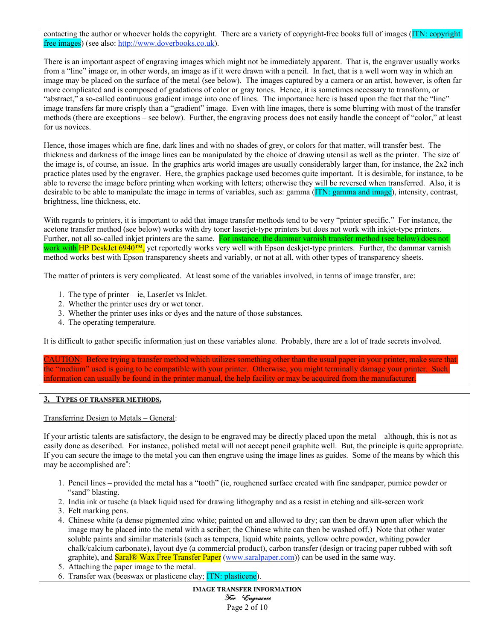contacting the author or whoever holds the copyright. There are a variety of copyright-free books full of images (ITN: copyright free images) (see also: http://www.doverbooks.co.uk).

There is an important aspect of engraving images which might not be immediately apparent. That is, the engraver usually works from a "line" image or, in other words, an image as if it were drawn with a pencil. In fact, that is a well worn way in which an image may be placed on the surface of the metal (see below). The images captured by a camera or an artist, however, is often far more complicated and is composed of gradations of color or gray tones. Hence, it is sometimes necessary to transform, or "abstract," a so-called continuous gradient image into one of lines. The importance here is based upon the fact that the "line" image transfers far more crisply than a "gradient" image. Even with line images, there is some blurring with most of the transfer methods (there are exceptions – see below). Further, the engraving process does not easily handle the concept of "color," at least for us novices.

Hence, those images which are fine, dark lines and with no shades of grey, or colors for that matter, will transfer best. The thickness and darkness of the image lines can be manipulated by the choice of drawing utensil as well as the printer. The size of the image is, of course, an issue. In the graphics arts world images are usually considerably larger than, for instance, the 2x2 inch practice plates used by the engraver. Here, the graphics package used becomes quite important. It is desirable, for instance, to be able to reverse the image before printing when working with letters; otherwise they will be reversed when transferred. Also, it is desirable to be able to manipulate the image in terms of variables, such as: gamma (ITN: gamma and image), intensity, contrast, brightness, line thickness, etc.

With regards to printers, it is important to add that image transfer methods tend to be very "printer specific." For instance, the acetone transfer method (see below) works with dry toner laserjet-type printers but does not work with inkjet-type printers. Further, not all so-called inkjet printers are the same. For instance, the dammar varnish transfer method (see below) does not work with HP DeskJet 6940<sup>TM</sup>, yet reportedly works very well with Epson deskjet-type printers. Further, the dammar varnish method works best with Epson transparency sheets and variably, or not at all, with other types of transparency sheets.

The matter of printers is very complicated. At least some of the variables involved, in terms of image transfer, are:

- 1. The type of printer ie, LaserJet vs InkJet.
- 2. Whether the printer uses dry or wet toner.
- 3. Whether the printer uses inks or dyes and the nature of those substances.
- 4. The operating temperature.

It is difficult to gather specific information just on these variables alone. Probably, there are a lot of trade secrets involved.

CAUTION: Before trying a transfer method which utilizes something other than the usual paper in your printer, make sure that the "medium" used is going to be compatible with your printer. Otherwise, you might terminally damage your printer. Such information can usually be found in the printer manual, the help facility or may be acquired from the manufacturer.

## 3, TYPES OF TRANSFER METHODS.

Transferring Design to Metals – General:

If your artistic talents are satisfactory, the design to be engraved may be directly placed upon the metal – although, this is not as easily done as described. For instance, polished metal will not accept pencil graphite well. But, the principle is quite appropriate. If you can secure the image to the metal you can then engrave using the image lines as guides. Some of the means by which this may be accomplished are<sup>ii</sup>:

- 1. Pencil lines provided the metal has a "tooth" (ie, roughened surface created with fine sandpaper, pumice powder or "sand" blasting.
- 2. India ink or tusche (a black liquid used for drawing lithography and as a resist in etching and silk-screen work
- 3. Felt marking pens.
- 4. Chinese white (a dense pigmented zinc white; painted on and allowed to dry; can then be drawn upon after which the image may be placed into the metal with a scriber; the Chinese white can then be washed off.) Note that other water soluble paints and similar materials (such as tempera, liquid white paints, yellow ochre powder, whiting powder chalk/calcium carbonate), layout dye (a commercial product), carbon transfer (design or tracing paper rubbed with soft graphite), and **Saral® Wax Free Transfer Paper** (www.saralpaper.com)) can be used in the same way.
- 5. Attaching the paper image to the metal.
- 6. Transfer wax (beeswax or plasticene clay; ITN: plasticene).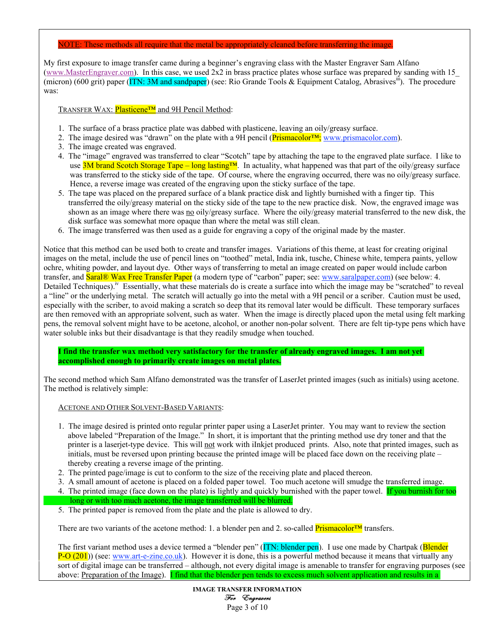#### NOTE: These methods all require that the metal be appropriately cleaned before transferring the image.

My first exposure to image transfer came during a beginner's engraving class with the Master Engraver Sam Alfano (www.MasterEngraver.com). In this case, we used 2x2 in brass practice plates whose surface was prepared by sanding with 15\_ (micron) (600 grit) paper (ITN: 3M and sandpaper) (see: Rio Grande Tools & Equipment Catalog, Abrasives<sup>iii</sup>). The procedure was:

TRANSFER WAX: Plasticene<sup>™</sup> and 9H Pencil Method:

- 1. The surface of a brass practice plate was dabbed with plasticene, leaving an oily/greasy surface.
- 2. The image desired was "drawn" on the plate with a 9H pencil (Prismacolor™; www.prismacolor.com).
- 3. The image created was engraved.
- 4. The "image" engraved was transferred to clear "Scotch" tape by attaching the tape to the engraved plate surface. I like to use 3M brand Scotch Storage Tape – long lasting™. In actuality, what happened was that part of the oily/greasy surface was transferred to the sticky side of the tape. Of course, where the engraving occurred, there was no oily/greasy surface. Hence, a reverse image was created of the engraving upon the sticky surface of the tape.
- 5. The tape was placed on the prepared surface of a blank practice disk and lightly burnished with a finger tip. This transferred the oily/greasy material on the sticky side of the tape to the new practice disk. Now, the engraved image was shown as an image where there was no oily/greasy surface. Where the oily/greasy material transferred to the new disk, the disk surface was somewhat more opaque than where the metal was still clean.
- 6. The image transferred was then used as a guide for engraving a copy of the original made by the master.

Notice that this method can be used both to create and transfer images. Variations of this theme, at least for creating original images on the metal, include the use of pencil lines on "toothed" metal, India ink, tusche, Chinese white, tempera paints, yellow ochre, whiting powder, and layout dye. Other ways of transferring to metal an image created on paper would include carbon transfer, and **Saral<sup>®</sup> Wax Free Transfer Paper** (a modern type of "carbon" paper; see: www.saralpaper.com) (see below: 4. Detailed Techniques).<sup>iv</sup> Essentially, what these materials do is create a surface into which the image may be "scratched" to reveal a "line" or the underlying metal. The scratch will actually go into the metal with a 9H pencil or a scriber. Caution must be used, especially with the scriber, to avoid making a scratch so deep that its removal later would be difficult. These temporary surfaces are then removed with an appropriate solvent, such as water. When the image is directly placed upon the metal using felt marking pens, the removal solvent might have to be acetone, alcohol, or another non-polar solvent. There are felt tip-type pens which have water soluble inks but their disadvantage is that they readily smudge when touched.

I find the transfer wax method very satisfactory for the transfer of already engraved images. I am not yet accomplished enough to primarily create images on metal plates.

The second method which Sam Alfano demonstrated was the transfer of LaserJet printed images (such as initials) using acetone. The method is relatively simple:

## ACETONE AND OTHER SOLVENT-BASED VARIANTS:

- 1. The image desired is printed onto regular printer paper using a LaserJet printer. You may want to review the section above labeled "Preparation of the Image." In short, it is important that the printing method use dry toner and that the printer is a laserjet-type device. This will not work with iInkjet produced prints. Also, note that printed images, such as initials, must be reversed upon printing because the printed image will be placed face down on the receiving plate – thereby creating a reverse image of the printing.
- 2. The printed page/image is cut to conform to the size of the receiving plate and placed thereon.
- 3. A small amount of acetone is placed on a folded paper towel. Too much acetone will smudge the transferred image. 4. The printed image (face down on the plate) is lightly and quickly burnished with the paper towel. If you burnish for too
- long or with too much acetone, the image transferred will be blurred. 5. The printed paper is removed from the plate and the plate is allowed to dry.

There are two variants of the acetone method: 1. a blender pen and 2. so-called **Prismacolor™** transfers.

The first variant method uses a device termed a "blender pen" (ITN: blender pen). I use one made by Chartpak (Blender  $P-O(201)$ ) (see: www.art-e-zine.co.uk). However it is done, this is a powerful method because it means that virtually any sort of digital image can be transferred – although, not every digital image is amenable to transfer for engraving purposes (see above: Preparation of the Image). I find that the blender pen tends to excess much solvent application and results in a

> IMAGE TRANSFER INFORMATION For Engravers Page 3 of 10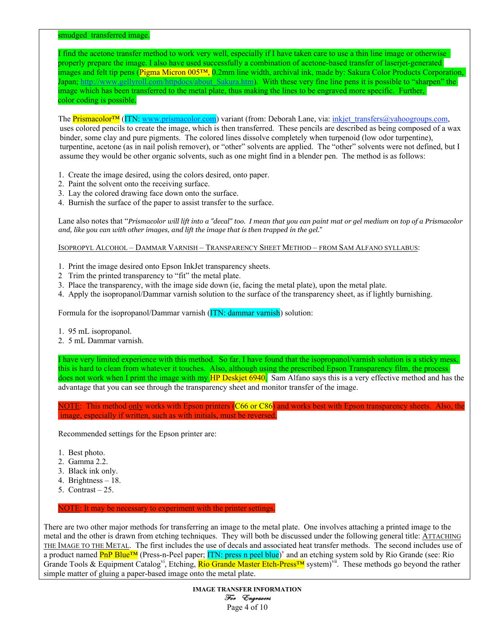smudged transferred image.

I find the acetone transfer method to work very well, especially if I have taken care to use a thin line image or otherwise properly prepare the image. I also have used successfully a combination of acetone-based transfer of laserjet-generated images and felt tip pens (Pigma Micron 005™, 0.2mm line width, archival ink, made by: Sakura Color Products Corporation, Japan; http://www.gellyroll.com/httpdocs/about\_Sakura.htm). With these very fine line pens it is possible to "sharpen" the image which has been transferred to the metal plate, thus making the lines to be engraved more specific. Further, color coding is possible.

The Prismacolor<sup>™</sup> (ITN: www.prismacolor.com) variant (from: Deborah Lane, via: inkjet\_transfers@yahoogroups.com, uses colored pencils to create the image, which is then transferred. These pencils are described as being composed of a wax binder, some clay and pure pigments. The colored lines dissolve completely when turpenoid (low odor turpentine), turpentine, acetone (as in nail polish remover), or "other" solvents are applied. The "other" solvents were not defined, but I assume they would be other organic solvents, such as one might find in a blender pen. The method is as follows:

- 1. Create the image desired, using the colors desired, onto paper.
- 2. Paint the solvent onto the receiving surface.
- 3. Lay the colored drawing face down onto the surface.
- 4. Burnish the surface of the paper to assist transfer to the surface.

Lane also notes that "*Prismacolor will lift into a "decal" too. I mean that you can paint mat or gel medium on top of a Prismacolor and, like you can with other images, and lift the image that is then trapped in the gel*."

ISOPROPYL ALCOHOL – DAMMAR VARNISH – TRANSPARENCY SHEET METHOD – FROM SAM ALFANO SYLLABUS:

- 1. Print the image desired onto Epson InkJet transparency sheets.
- 2 Trim the printed transparency to "fit" the metal plate.
- 3. Place the transparency, with the image side down (ie, facing the metal plate), upon the metal plate.
- 4. Apply the isopropanol/Dammar varnish solution to the surface of the transparency sheet, as if lightly burnishing.

Formula for the isopropanol/Dammar varnish (ITN: dammar varnish) solution:

- 1. 95 mL isopropanol.
- 2. 5 mL Dammar varnish.

I have very limited experience with this method. So far, I have found that the isopropanol/varnish solution is a sticky mess, this is hard to clean from whatever it touches. Also, although using the prescribed Epson Transparency film, the process does not work when I print the image with my HP Deskjet 6940. Sam Alfano says this is a very effective method and has the advantage that you can see through the transparency sheet and monitor transfer of the image.

NOTE: This method only works with Epson printers (C66 or C86) and works best with Epson transparency sheets. Also, the image, especially if written, such as with initials, must be reversed.

Recommended settings for the Epson printer are:

- 1. Best photo.
- 2. Gamma 2.2.
- 3. Black ink only.
- 4. Brightness 18.
- 5. Contrast 25.

NOTE: It may be necessary to experiment with the printer settings.

There are two other major methods for transferring an image to the metal plate. One involves attaching a printed image to the metal and the other is drawn from etching techniques. They will both be discussed under the following general title: ATTACHING THE IMAGE TO THE METAL. The first includes the use of decals and associated heat transfer methods. The second includes use of a product named PnP Blue™ (Press-n-Peel paper; ITN: press n peel blue)<sup>v</sup> and an etching system sold by Rio Grande (see: Rio Grande Tools & Equipment Catalog<sup>vi</sup>, Etching, **Rio Grande Master Etch-Press™** system)<sup>vii</sup>. These methods go beyond the rather simple matter of gluing a paper-based image onto the metal plate.

> IMAGE TRANSFER INFORMATION For Engravers Page 4 of 10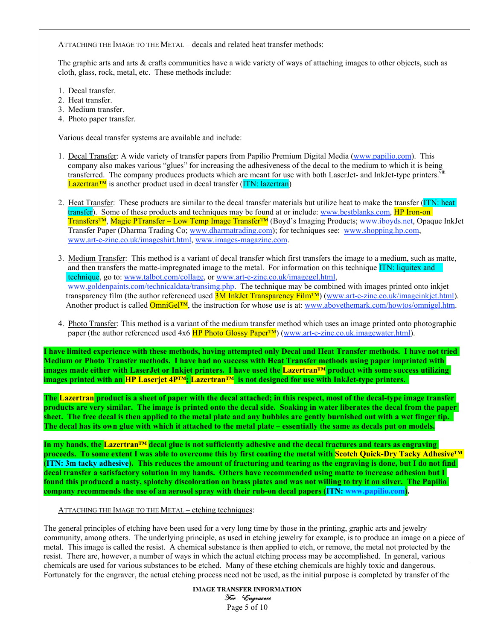#### ATTACHING THE IMAGE TO THE METAL – decals and related heat transfer methods:

The graphic arts and arts & crafts communities have a wide variety of ways of attaching images to other objects, such as cloth, glass, rock, metal, etc. These methods include:

- 1. Decal transfer.
- 2. Heat transfer.
- 3. Medium transfer.
- 4. Photo paper transfer.

Various decal transfer systems are available and include:

- 1. Decal Transfer: A wide variety of transfer papers from Papilio Premium Digital Media (www.papilio.com). This company also makes various "glues" for increasing the adhesiveness of the decal to the medium to which it is being transferred. The company produces products which are meant for use with both LaserJet- and InkJet-type printers. Viii  $\frac{\text{Lazertran}^{\text{TM}}}{\text{Lazertran}}$  is another product used in decal transfer (ITN: lazertran)
- 2. Heat Transfer: These products are similar to the decal transfer materials but utilize heat to make the transfer (ITN: heat transfer). Some of these products and techniques may be found at or include: www.bestblanks.com, HP Iron-on Transfers™, Magic PTransfer – Low Temp Image Transfer™ (Boyd's Imaging Products; www.iboyds.net, Opaque InkJet Transfer Paper (Dharma Trading Co; www.dharmatrading.com); for techniques see: www.shopping.hp.com, www.art-e-zine.co.uk/imageshirt.html, www.images-magazine.com.
- 3. Medium Transfer: This method is a variant of decal transfer which first transfers the image to a medium, such as matte, and then transfers the matte-impregnated image to the metal. For information on this technique ITN: liquitex and technique, go to: www.talbot.com/collage, or www.art-e-zine.co.uk/imagegel.html, www.goldenpaints.com/technicaldata/transimg.php. The technique may be combined with images printed onto inkiet transparency film (the author referenced used 3M InkJet Transparency Film™) (www.art-e-zine.co.uk/imageinkjet.html). Another product is called **OmniGel™**, the instruction for whose use is at: www.abovethemark.com/howtos/omnigel.htm.
- 4. Photo Transfer: This method is a variant of the medium transfer method which uses an image printed onto photographic paper (the author referenced used 4x6 HP Photo Glossy Paper™) (www.art-e-zine.co.uk.imagewater.html).

I have limited experience with these methods, having attempted only Decal and Heat Transfer methods. I have not tried Medium or Photo Transfer methods. I have had no success with Heat Transfer methods using paper imprinted with images made either with LaserJet or Inkjet printers. I have used the Lazertran™ product with some success utilizing images printed with an HP Laserjet 4P™; Lazertran™ is not designed for use with InkJet-type printers.

The Lazertran product is a sheet of paper with the decal attached; in this respect, most of the decal-type image transfer products are very similar. The image is printed onto the decal side. Soaking in water liberates the decal from the paper sheet. The free decal is then applied to the metal plate and any bubbles are gently burnished out with a wet finger tip. The decal has its own glue with which it attached to the metal plate – essentially the same as decals put on models.

In my hands, the Lazertran™ decal glue is not sufficiently adhesive and the decal fractures and tears as engraving proceeds. To some extent I was able to overcome this by first coating the metal with Scotch Quick-Dry Tacky Adhesive™ (ITN: 3m tacky adhesive). This reduces the amount of fracturing and tearing as the engraving is done, but I do not find decal transfer a satisfactory solution in my hands. Others have recommended using matte to increase adhesion but I found this produced a nasty, splotchy discoloration on brass plates and was not willing to try it on silver. The Papilio company recommends the use of an aerosol spray with their rub-on decal papers (ITN: www.papilio.com).

ATTACHING THE IMAGE TO THE METAL – etching techniques:

The general principles of etching have been used for a very long time by those in the printing, graphic arts and jewelry community, among others. The underlying principle, as used in etching jewelry for example, is to produce an image on a piece of metal. This image is called the resist. A chemical substance is then applied to etch, or remove, the metal not protected by the resist. There are, however, a number of ways in which the actual etching process may be accomplished. In general, various chemicals are used for various substances to be etched. Many of these etching chemicals are highly toxic and dangerous. Fortunately for the engraver, the actual etching process need not be used, as the initial purpose is completed by transfer of the

> IMAGE TRANSFER INFORMATION For Engravers Page 5 of 10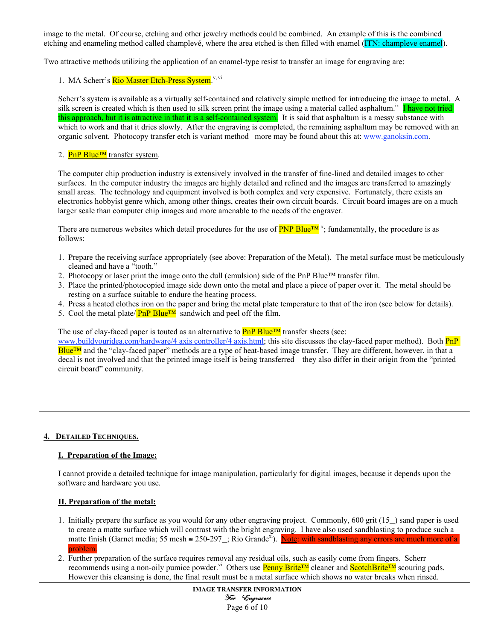image to the metal. Of course, etching and other jewelry methods could be combined. An example of this is the combined etching and enameling method called champlevé, where the area etched is then filled with enamel (ITN: champleve enamel).

Two attractive methods utilizing the application of an enamel-type resist to transfer an image for engraving are:

## 1. MA Scherr's Rio Master Etch-Press System.<sup>v, vi</sup>

Scherr's system is available as a virtually self-contained and relatively simple method for introducing the image to metal. A silk screen is created which is then used to silk screen print the image using a material called asphaltum.<sup>ix</sup> I have not tried this approach, but it is attractive in that it is a self-contained system. It is said that asphaltum is a messy substance with which to work and that it dries slowly. After the engraving is completed, the remaining asphaltum may be removed with an organic solvent. Photocopy transfer etch is variant method– more may be found about this at: www.ganoksin.com.

## 2. PnP Blue<sup>™</sup> transfer system.

The computer chip production industry is extensively involved in the transfer of fine-lined and detailed images to other surfaces. In the computer industry the images are highly detailed and refined and the images are transferred to amazingly small areas. The technology and equipment involved is both complex and very expensive. Fortunately, there exists an electronics hobbyist genre which, among other things, creates their own circuit boards. Circuit board images are on a much larger scale than computer chip images and more amenable to the needs of the engraver.

There are numerous websites which detail procedures for the use of **PNP Blue™**<sup>x</sup>; fundamentally, the procedure is as follows:

- 1. Prepare the receiving surface appropriately (see above: Preparation of the Metal). The metal surface must be meticulously cleaned and have a "tooth."
- 2. Photocopy or laser print the image onto the dull (emulsion) side of the PnP Blue<sup>™</sup> transfer film.
- 3. Place the printed/photocopied image side down onto the metal and place a piece of paper over it. The metal should be resting on a surface suitable to endure the heating process.
- 4. Press a heated clothes iron on the paper and bring the metal plate temperature to that of the iron (see below for details).
- 5. Cool the metal plate/ $\frac{PnPBlue^{TM}}{PMPBlue^{TM}}$  sandwich and peel off the film.

The use of clay-faced paper is touted as an alternative to  $\text{PnP}$  Blue<sup>TM</sup> transfer sheets (see:

www.buildyouridea.com/hardware/4 axis controller/4 axis.html; this site discusses the clay-faced paper method). Both **PnP** Blue™ and the "clay-faced paper" methods are a type of heat-based image transfer. They are different, however, in that a decal is not involved and that the printed image itself is being transferred – they also differ in their origin from the "printed circuit board" community.

## 4. DETAILED TECHNIQUES.

## I. Preparation of the Image:

I cannot provide a detailed technique for image manipulation, particularly for digital images, because it depends upon the software and hardware you use.

## II. Preparation of the metal:

- 1. Initially prepare the surface as you would for any other engraving project. Commonly, 600 grit (15\_) sand paper is used to create a matte surface which will contrast with the bright engraving. I have also used sandblasting to produce such a matte finish (Garnet media; 55 mesh  $\approx 250{\text -}297$ ); Rio Grande<sup>xi</sup>). Note: with sandblasting any errors are much more of a problem.
- 2. Further preparation of the surface requires removal any residual oils, such as easily come from fingers. Scherr recommends using a non-oily pumice powder.<sup>vi</sup> Others use Penny Brite™ cleaner and ScotchBrite™ scouring pads. However this cleansing is done, the final result must be a metal surface which shows no water breaks when rinsed.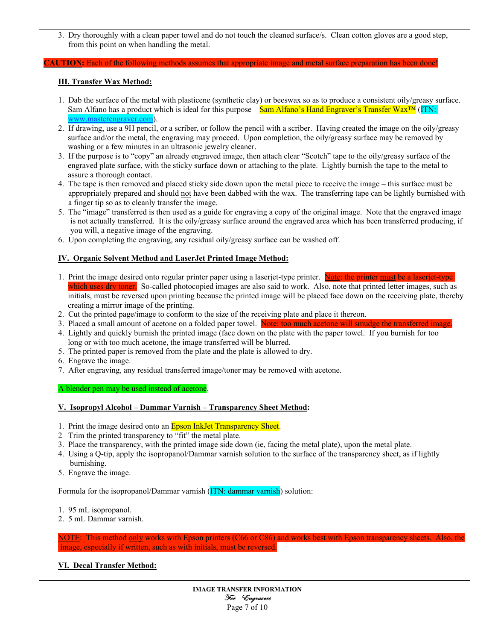3. Dry thoroughly with a clean paper towel and do not touch the cleaned surface/s. Clean cotton gloves are a good step, from this point on when handling the metal.

#### **AUTION:** Each of the following methods assumes that appropriate image and metal surface preparation has been done!

## III. Transfer Wax Method:

- 1. Dab the surface of the metal with plasticene (synthetic clay) or beeswax so as to produce a consistent oily/greasy surface. Sam Alfano has a product which is ideal for this purpose –  $Sam$  Alfano's Hand Engraver's Transfer Wax<sup>TM</sup> (ITN: www.masterengraver.com).
- 2. If drawing, use a 9H pencil, or a scriber, or follow the pencil with a scriber. Having created the image on the oily/greasy surface and/or the metal, the engraving may proceed. Upon completion, the oily/greasy surface may be removed by washing or a few minutes in an ultrasonic jewelry cleaner.
- 3. If the purpose is to "copy" an already engraved image, then attach clear "Scotch" tape to the oily/greasy surface of the engraved plate surface, with the sticky surface down or attaching to the plate. Lightly burnish the tape to the metal to assure a thorough contact.
- 4. The tape is then removed and placed sticky side down upon the metal piece to receive the image this surface must be appropriately prepared and should not have been dabbed with the wax. The transferring tape can be lightly burnished with a finger tip so as to cleanly transfer the image.
- 5. The "image" transferred is then used as a guide for engraving a copy of the original image. Note that the engraved image is not actually transferred. It is the oily/greasy surface around the engraved area which has been transferred producing, if you will, a negative image of the engraving.
- 6. Upon completing the engraving, any residual oily/greasy surface can be washed off.

## IV. Organic Solvent Method and LaserJet Printed Image Method:

- 1. Print the image desired onto regular printer paper using a laserjet-type printer. Note: the printer must be a laserjet-type which uses dry toner. So-called photocopied images are also said to work. Also, note that printed letter images, such as initials, must be reversed upon printing because the printed image will be placed face down on the receiving plate, thereby creating a mirror image of the printing.
- 2. Cut the printed page/image to conform to the size of the receiving plate and place it thereon.
- 3. Placed a small amount of acetone on a folded paper towel. Note: too much acetone will smudge the transferred image.
- 4. Lightly and quickly burnish the printed image (face down on the plate with the paper towel. If you burnish for too long or with too much acetone, the image transferred will be blurred.
- 5. The printed paper is removed from the plate and the plate is allowed to dry.
- 6. Engrave the image.
- 7. After engraving, any residual transferred image/toner may be removed with acetone.

A blender pen may be used instead of acetone.

## V. Isopropyl Alcohol – Dammar Varnish – Transparency Sheet Method:

- 1. Print the image desired onto an **Epson InkJet Transparency Sheet**.
- 2 Trim the printed transparency to "fit" the metal plate.
- 3. Place the transparency, with the printed image side down (ie, facing the metal plate), upon the metal plate.
- 4. Using a Q-tip, apply the isopropanol/Dammar varnish solution to the surface of the transparency sheet, as if lightly burnishing.
- 5. Engrave the image.

Formula for the isopropanol/Dammar varnish (ITN: dammar varnish) solution:

- 1. 95 mL isopropanol.
- 2. 5 mL Dammar varnish.

NOTE: This method only works with Epson printers (C66 or C86) and works best with Epson transparency sheets. Also, the image, especially if written, such as with initials, must be reversed.

# VI. Decal Transfer Method: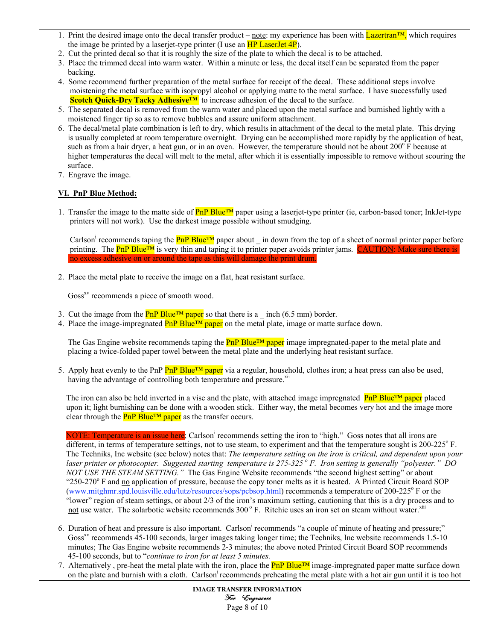- 1. Print the desired image onto the decal transfer product note: my experience has been with  $\frac{L\text{azertran}}{M}$ , which requires the image be printed by a laserjet-type printer (I use an  $HP$  LaserJet  $4P$ ).
- 2. Cut the printed decal so that it is roughly the size of the plate to which the decal is to be attached.
- 3. Place the trimmed decal into warm water. Within a minute or less, the decal itself can be separated from the paper backing.
- 4. Some recommend further preparation of the metal surface for receipt of the decal. These additional steps involve moistening the metal surface with isopropyl alcohol or applying matte to the metal surface. I have successfully used **Scotch Quick-Dry Tacky Adhesive<sup>TM</sup>** to increase adhesion of the decal to the surface.
- 5. The separated decal is removed from the warm water and placed upon the metal surface and burnished lightly with a moistened finger tip so as to remove bubbles and assure uniform attachment.
- 6. The decal/metal plate combination is left to dry, which results in attachment of the decal to the metal plate. This drying is usually completed at room temperature overnight. Drying can be accomplished more rapidly by the application of heat, such as from a hair dryer, a heat gun, or in an oven. However, the temperature should not be about  $200^{\circ}$  F because at higher temperatures the decal will melt to the metal, after which it is essentially impossible to remove without scouring the surface.
	- 7. Engrave the image.

# VI. PnP Blue Method:

1. Transfer the image to the matte side of **PnP Blue™** paper using a laserjet-type printer (ie, carbon-based toner; InkJet-type printers will not work). Use the darkest image possible without smudging.

Carlson<sup>i</sup> recommends taping the  $PnP Blue^{TM}$  paper about \_ in down from the top of a sheet of normal printer paper before printing. The **PnP Blue<sup>TM</sup>** is very thin and taping it to printer paper avoids printer jams. **CAUTION:** Make sure there is no excess adhesive on or around the tape as this will damage the print drum.

2. Place the metal plate to receive the image on a flat, heat resistant surface.

Goss<sup>xv</sup> recommends a piece of smooth wood.

- 3. Cut the image from the **PnP Blue<sup>TM</sup>** paper so that there is a \_ inch (6.5 mm) border.
- 4. Place the image-impregnated  $\frac{Pn}{P}$  Blue<sup>TM</sup> paper on the metal plate, image or matte surface down.

The Gas Engine website recommends taping the **PnP Blue<sup>TM</sup>** paper image impregnated-paper to the metal plate and placing a twice-folded paper towel between the metal plate and the underlying heat resistant surface.

5. Apply heat evenly to the PnP  $PnP Blue^{TM}$  paper via a regular, household, clothes iron; a heat press can also be used, having the advantage of controlling both temperature and pressure.<sup>xii</sup>

The iron can also be held inverted in a vise and the plate, with attached image impregnated  $\text{PnP Blue}^{\text{TM}}$  paper placed upon it; light burnishing can be done with a wooden stick. Either way, the metal becomes very hot and the image more clear through the  $\frac{PnP Blue^{TM} paper}{PMP}$  as the transfer occurs.

NOTE: Temperature is an issue here; Carlson<sup>i</sup> recommends setting the iron to "high." Goss notes that all irons are different, in terms of temperature settings, not to use steam, to experiment and that the temperature sought is 200-225° F. The Techniks, Inc website (see below) notes that: *The temperature setting on the iron is critical, and dependent upon your laser printer or photocopier. Suggested starting temperature is 275-325<sup>°</sup> F. Iron setting is generally "polyester." DO NOT USE THE STEAM SETTING.*" The Gas Engine Website recommends "the second highest setting" or about "250-270° F and no application of pressure, because the copy toner melts as it is heated. A Printed Circuit Board SOP (www.mitghmr.spd.louisville.edu/lutz/resources/sops/pcbsop.html) recommends a temperature of 200-225° F or the "lower" region of steam settings, or about 2/3 of the iron's maximum setting, cautioning that this is a dry process and to not use water. The solarbotic website recommends  $300^\circ$  F. Ritchie uses an iron set on steam without water.<sup>xiii</sup>

- 6. Duration of heat and pressure is also important. Carlson<sup>i</sup> recommends "a couple of minute of heating and pressure;" Goss<sup>xv</sup> recommends 45-100 seconds, larger images taking longer time; the Techniks, Inc website recommends 1.5-10 minutes; The Gas Engine website recommends 2-3 minutes; the above noted Printed Circuit Board SOP recommends 45-100 seconds, but to "*continue to iron for at least 5 minutes.*
- 7. Alternatively, pre-heat the metal plate with the iron, place the **PnP Blue™** image-impregnated paper matte surface down on the plate and burnish with a cloth. Carlsoni recommends preheating the metal plate with a hot air gun until it is too hot

IMAGE TRANSFER INFORMATION For Engravers Page 8 of 10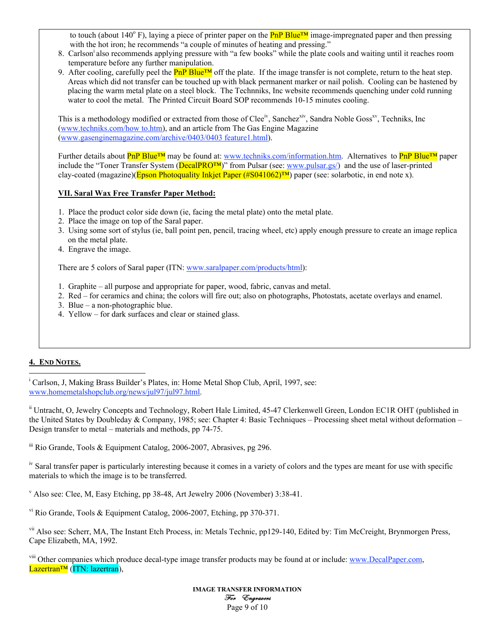to touch (about 140<sup>°</sup> F), laying a piece of printer paper on the **PnP Blue™** image-impregnated paper and then pressing with the hot iron; he recommends "a couple of minutes of heating and pressing."

- 8. Carlsoni also recommends applying pressure with "a few books" while the plate cools and waiting until it reaches room temperature before any further manipulation.
- 9. After cooling, carefully peel the  $\frac{PnPBlue^{TM}}{PMPBlue^{TM}}$  off the plate. If the image transfer is not complete, return to the heat step. Areas which did not transfer can be touched up with black permanent marker or nail polish. Cooling can be hastened by placing the warm metal plate on a steel block. The Technniks, Inc website recommends quenching under cold running water to cool the metal. The Printed Circuit Board SOP recommends 10-15 minutes cooling.

This is a methodology modified or extracted from those of Clee<sup>iv</sup>, Sanchez<sup>xiv</sup>, Sandra Noble Goss<sup>xv</sup>, Techniks, Inc (www.techniks.com/how to.htm), and an article from The Gas Engine Magazine (www.gasenginemagazine.com/archive/0403/0403 feature1.html).

Further details about PnP Blue<sup>™</sup> may be found at: www.techniks.com/information.htm. Alternatives to PnP Blue™ paper include the "Toner Transfer System (DecalPRO<sup>TM</sup>)" from Pulsar (see: www.pulsar.gs/) and the use of laser-printed clay-coated (magazine)(Epson Photoquality Inkjet Paper (#S041062)™) paper (see: solarbotic, in end note x).

## VII. Saral Wax Free Transfer Paper Method:

- 1. Place the product color side down (ie, facing the metal plate) onto the metal plate.
- 2. Place the image on top of the Saral paper.
- 3. Using some sort of stylus (ie, ball point pen, pencil, tracing wheel, etc) apply enough pressure to create an image replica on the metal plate.
- 4. Engrave the image.

There are 5 colors of Saral paper (ITN: www.saralpaper.com/products/html):

- 1. Graphite all purpose and appropriate for paper, wood, fabric, canvas and metal.
- 2. Red for ceramics and china; the colors will fire out; also on photographs, Photostats, acetate overlays and enamel.
- 3. Blue a non-photographic blue.
- 4. Yellow for dark surfaces and clear or stained glass.

# 4. END NOTES.

 $\overline{a}$ 

<sup>i</sup> Carlson, J, Making Brass Builder's Plates, in: Home Metal Shop Club, April, 1997, see: www.homemetalshopclub.org/news/jul97/jul97.html.

ii Untracht, O, Jewelry Concepts and Technology, Robert Hale Limited, 45-47 Clerkenwell Green, London EC1R OHT (published in the United States by Doubleday & Company, 1985; see: Chapter 4: Basic Techniques – Processing sheet metal without deformation – Design transfer to metal – materials and methods, pp 74-75.

iii Rio Grande, Tools & Equipment Catalog, 2006-2007, Abrasives, pg 296.

<sup>iv</sup> Saral transfer paper is particularly interesting because it comes in a variety of colors and the types are meant for use with specific materials to which the image is to be transferred.

v Also see: Clee, M, Easy Etching, pp 38-48, Art Jewelry 2006 (November) 3:38-41.

v<sup>i</sup> Rio Grande, Tools & Equipment Catalog, 2006-2007, Etching, pp 370-371.

<sup>vii</sup> Also see: Scherr, MA, The Instant Etch Process, in: Metals Technic, pp129-140, Edited by: Tim McCreight, Brynmorgen Press, Cape Elizabeth, MA, 1992.

<sup>viii</sup> Other companies which produce decal-type image transfer products may be found at or include: www.DecalPaper.com, Lazertran™ (ITN: lazertran),

> IMAGE TRANSFER INFORMATION For Engravers Page 9 of 10